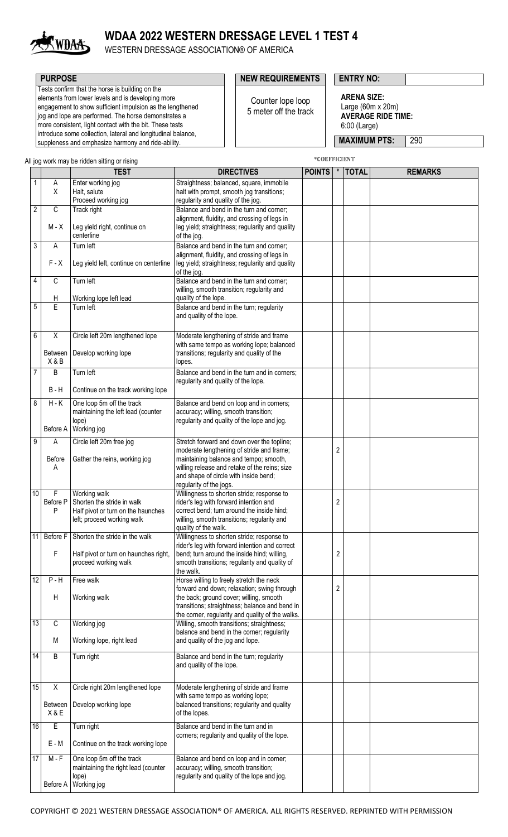

# **WDAA 2022 WESTERN DRESSAGE LEVEL 1 TEST 4**

WESTERN DRESSAGE ASSOCIATION® OF AMERICA

Tests confirm that the horse is building on the elements from lower levels and is developing more engagement to show sufficient impulsion as the lengthened jog and lope are performed. The horse demonstrates a

more consistent, light contact with the bit. These tests introduce some collection, lateral and longitudinal balance, suppleness and emphasize harmony and ride-ability.

## **PURPOSE PURPOSE ENTRY NO:**

\*COEFFICIENT

Counter lope loop 5 meter off the track

**ARENA SIZE:** Large (60m x 20m) **AVERAGE RIDE TIME:** 6:00 (Large)

**MAXIMUM PTS: 290** 

All jog work may be ridden sitting or rising

|                |                         | <b>TEST</b>                                                                                                    | <b>DIRECTIVES</b>                                                                                                                                                                                         | <b>POINTS</b> | $\pmb{\ast}$ | <b>TOTAL</b> | <b>REMARKS</b> |
|----------------|-------------------------|----------------------------------------------------------------------------------------------------------------|-----------------------------------------------------------------------------------------------------------------------------------------------------------------------------------------------------------|---------------|--------------|--------------|----------------|
| 1              | A<br>X                  | Enter working jog                                                                                              | Straightness; balanced, square, immobile                                                                                                                                                                  |               |              |              |                |
|                |                         | Halt, salute<br>Proceed working jog                                                                            | halt with prompt, smooth jog transitions;<br>regularity and quality of the jog.                                                                                                                           |               |              |              |                |
| $\overline{2}$ | $\mathbb C$             | Track right                                                                                                    | Balance and bend in the turn and corner;                                                                                                                                                                  |               |              |              |                |
|                | M - X                   | Leg yield right, continue on<br>centerline                                                                     | alignment, fluidity, and crossing of legs in<br>leg yield; straightness; regularity and quality<br>of the jog.                                                                                            |               |              |              |                |
| 3              | Α                       | Turn left                                                                                                      | Balance and bend in the turn and corner;                                                                                                                                                                  |               |              |              |                |
|                | $F - X$                 | Leg yield left, continue on centerline                                                                         | alignment, fluidity, and crossing of legs in<br>leg yield; straightness; regularity and quality<br>of the jog.                                                                                            |               |              |              |                |
| 4              | $\mathsf{C}$<br>Н       | Turn left<br>Working lope left lead                                                                            | Balance and bend in the turn and corner;<br>willing, smooth transition; regularity and<br>quality of the lope.                                                                                            |               |              |              |                |
| $\overline{5}$ | E                       | Turn left                                                                                                      | Balance and bend in the turn; regularity<br>and quality of the lope.                                                                                                                                      |               |              |              |                |
| 6              | X                       | Circle left 20m lengthened lope                                                                                | Moderate lengthening of stride and frame                                                                                                                                                                  |               |              |              |                |
|                | <b>Between</b><br>X & B | Develop working lope                                                                                           | with same tempo as working lope; balanced<br>transitions; regularity and quality of the<br>lopes.                                                                                                         |               |              |              |                |
| $\overline{7}$ | B                       | Turn left                                                                                                      | Balance and bend in the turn and in corners;                                                                                                                                                              |               |              |              |                |
|                | <b>B-H</b>              | Continue on the track working lope                                                                             | regularity and quality of the lope.                                                                                                                                                                       |               |              |              |                |
| 8              | $H - K$<br>Before A     | One loop 5m off the track<br>maintaining the left lead (counter<br>lope)<br>Working jog                        | Balance and bend on loop and in corners;<br>accuracy; willing, smooth transition;<br>regularity and quality of the lope and jog.                                                                          |               |              |              |                |
| 9              | Α                       | Circle left 20m free jog                                                                                       | Stretch forward and down over the topline;                                                                                                                                                                |               |              |              |                |
|                | <b>Before</b><br>Α      | Gather the reins, working jog                                                                                  | moderate lengthening of stride and frame;<br>maintaining balance and tempo; smooth,<br>willing release and retake of the reins; size<br>and shape of circle with inside bend;<br>regularity of the jogs.  |               | 2            |              |                |
| 10             | F<br>Before P<br>P      | Working walk<br>Shorten the stride in walk<br>Half pivot or turn on the haunches<br>left; proceed working walk | Willingness to shorten stride; response to<br>rider's leg with forward intention and<br>correct bend; turn around the inside hind;<br>willing, smooth transitions; regularity and<br>quality of the walk. |               | 2            |              |                |
|                |                         | 11 Before F Shorten the stride in the walk                                                                     | Willingness to shorten stride; response to                                                                                                                                                                |               |              |              |                |
|                | F                       | Half pivot or turn on haunches right,<br>proceed working walk                                                  | rider's leg with forward intention and correct<br>bend; turn around the inside hind; willing,<br>smooth transitions; regularity and quality of<br>the walk.                                               |               | 2            |              |                |
| 12             | $P - H$                 | Free walk                                                                                                      | Horse willing to freely stretch the neck<br>forward and down; relaxation; swing through                                                                                                                   |               |              |              |                |
|                | H                       | Working walk                                                                                                   | the back; ground cover; willing, smooth<br>transitions; straightness; balance and bend in<br>the corner, regularity and quality of the walks.                                                             |               | 2            |              |                |
| 13             | C                       | Working jog                                                                                                    | Willing, smooth transitions; straightness;                                                                                                                                                                |               |              |              |                |
|                | M                       | Working lope, right lead                                                                                       | balance and bend in the corner; regularity<br>and quality of the jog and lope.                                                                                                                            |               |              |              |                |
| 14             | B                       | Turn right                                                                                                     | Balance and bend in the turn; regularity<br>and quality of the lope.                                                                                                                                      |               |              |              |                |
| 15             | X                       | Circle right 20m lengthened lope                                                                               | Moderate lengthening of stride and frame                                                                                                                                                                  |               |              |              |                |
|                | <b>Between</b><br>X&E   | Develop working lope                                                                                           | with same tempo as working lope;<br>balanced transitions; regularity and quality<br>of the lopes.                                                                                                         |               |              |              |                |
| 16             | E                       | Turn right                                                                                                     | Balance and bend in the turn and in                                                                                                                                                                       |               |              |              |                |
|                | E - M                   | Continue on the track working lope                                                                             | corners; regularity and quality of the lope.                                                                                                                                                              |               |              |              |                |
| 17             | $M - F$                 | One loop 5m off the track<br>maintaining the right lead (counter<br>lope)                                      | Balance and bend on loop and in corner;<br>accuracy; willing, smooth transition;<br>regularity and quality of the lope and jog.                                                                           |               |              |              |                |
|                | Before A                | Working jog                                                                                                    |                                                                                                                                                                                                           |               |              |              |                |